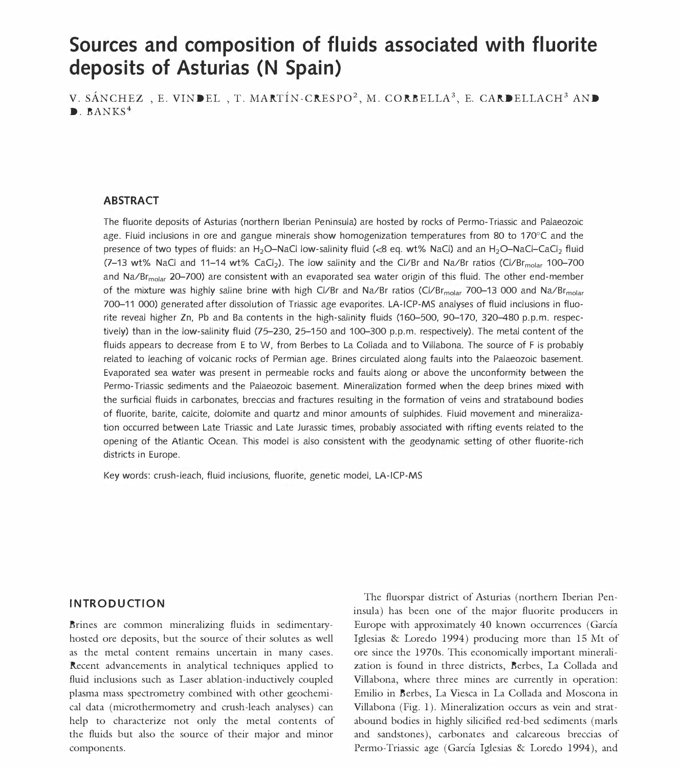# Sources and composition of fluids associated with fluorite deposits of Asturias (N Spain)

V. SÁNCHEZ, E. VINDEL, T. MARTÍN-CRESPO<sup>2</sup>, M. CORBELLA<sup>3</sup>, E. CARDELLACH<sup>3</sup> AND  $\blacksquare$ . BANKS<sup>4</sup>

# ABSTRACT

The fluorite deposits of Asturias (northern Iberian Peninsula) are hosted by rocks of Permo-Triassic and Palaeozoic age. Fluid inclusions in ore and gangue minerals show homogenization temperatures from 80 to 170°C and the presence of two types of fluids: an H<sub>2</sub>O-NaCl low-salinity fluid (<8 eq. wt% NaCl) and an H<sub>2</sub>O-NaCl-CaCl<sub>2</sub> fluid  $(7-13 \text{ wt\%}$  NaCl and 11-14 wt% CaCl<sub>2</sub>). The low salinity and the Cl/Br and Na/Br ratios (Cl/Br<sub>molar</sub> 100-700 and Na/Br<sub>molar</sub> 20-700) are consistent with an evaporated sea water origin of this fluid. The other end-member of the mixture was highly saline brine with high Cl/Br and Na/Br ratios (Cl/Br<sub>molar</sub> 700-13 000 and Na/Br<sub>molar</sub> 700-11 000) generated after dissolution of Triassic age evaporites. LA-ICP-MS analyses of fluid inclusions in fluorite reveal higher Zn, Pb and Ba contents in the high-salinity fluids (160-500, 90-170, 320-480 p.p.m. respectively) than in the low-salinity fluid (75-230, 25-150 and 100-300 p.p.m. respectively). The metal content of the fluids appears to decrease from E to W, from Berbes to La Collada and to Villabona. The source of F is probably related to leaching of volcanic rocks of Permian age. Brines circulated along faults into the Palaeozoic basement. Evaporated sea water was present in permeable rocks and faults along or above the unconformity between the Permo-Triassic sediments and the Palaeozoic basement. Mineralization formed when the deep brines mixed with the surficial fluids in carbonates, breccias and fractures resulting in the formation of veins and stratabound bodies of fluorite, barite, calcite, dolomite and quartz and minor amounts of sulphides. Fluid movement and mineralization occurred between Late Triassic and Late Jurassic times, probably associated with rifting events related to the opening of the Atlantic Ocean. This model is also consistent with the geodynamic setting of other fluorite-rich districts in Europe.

Key words: crush-leach, fluid inclusions, fluorite, genetic model, LA-ICP-MS

## INTRODUCTION

Brines are common mineralizing fluids in sedimentaryhosted ore deposits, but the source of their solutes as well as the metal content remains uncertain in many cases. Recent advancements in analytical techniques applied to fluid inclusions such as Laser ablation-inductively coupled plasma mass spectrometry combined with other geochemical data (microthermometry and crush-leach analyses) can help to characterize not only the metal contents of the fluids but also the source of their major and minor components.

The fluorspar district of Asturias (northern Iberian Peninsula) has been one of the major fluorite producers in Europe with approximately 40 known occurrences (Garcia Iglesias & Loredo 1994) producing more than 15 Mt of ore since the 1970s. This economically important mineralization is found in three districts, Berbes, La Collada and Villabona, where three mines are currently in operation: Emilio in Berbes, La Viesca in La Collada and Moscona in Villabona (Fig. 1). Mineralization occurs as vein and stratabound bodies in highly silicified red-bed sediments (marls and sandstones), carbonates and calcareous breccias of Permo-Triassic age (Garcia Iglesias & Loredo 1994), and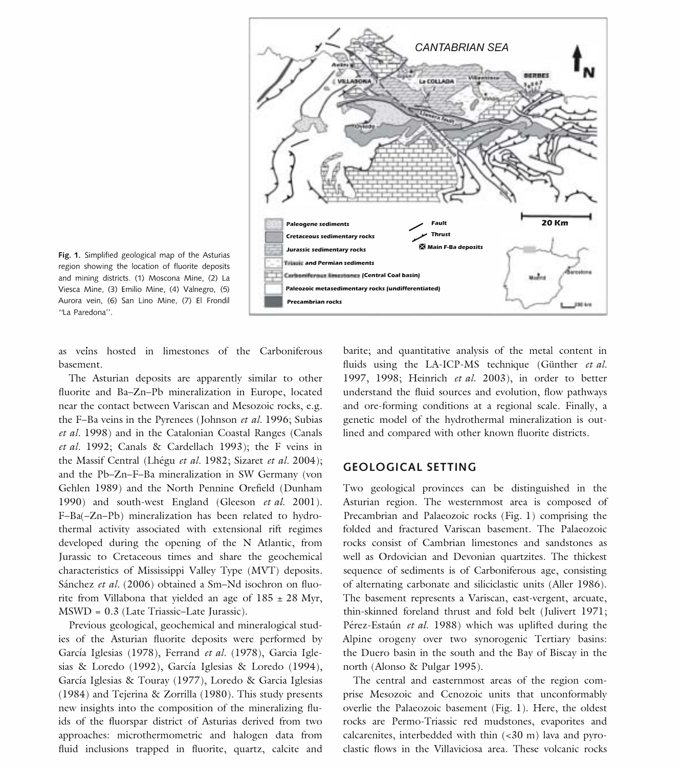

Fig. 1. Simplified geological map of the Asturias region showing the location of fluorite deposits and mining districts. (1) Moscona Mine, (2) La Viesca Mine, (3) Emilio Mine, (4) Valnegro, (5) Aurora vein, (6) San Lino Mine, (7) El Frondil "La Paredona".

as veins hosted in limestones of the Carboniferous basement.

The Asturian deposits are apparently similar to other fluorite and Ba-Zn-Pb mineralization in Europe, located near the contact between Variscan and Mesozoic rocks, e.g. the F-Ba veins in the Pyrenees (Johnson et al. 1996; Subias et al. 1998) and in the Catalonian Coastal Ranges (Canals et al. 1992; Canals & Cardellach 1993); the F veins in the Massif Central (Lhégu et al. 1982; Sizaret et al. 2004); and the Pb-Zn-F-Ba mineralization in SW Germany (von Gehlen 1989) and the North Pennine Orefield (Dunham 1990) and south-west England (Gleeson et al. 2001). F-Ba(-Zn-Pb) mineralization has been related to hydrothermal activity associated with extensional rift regimes developed during the opening of the N Atlantic, from Jurassic to Cretaceous times and share the geochemical characteristics of Mississippi Valley Type (MVT) deposits. Sánchez et al. (2006) obtained a Sm-Nd isochron on fluorite from Villabona that yielded an age of  $185 \pm 28$  Myr, MSWD = 0.3 (Late Triassic-Late Jurassic).

Previous geological, geochemical and mineralogical studies of the Asturian fluorite deposits were performed by Garcia Iglesias (1978), Ferrand et al. (1978), Garcia Iglesias & Loredo (1992), Garcia Iglesias & Loredo (1994), Garcia Iglesias & Touray (1977), Loredo & Garcia Iglesias (1984) and Tejerina & Zorrilla (1980). This study presents new insights into the composition of the mineralizing fluids of the fluorspar district of Asturias derived from two approaches: microthermometric and halogen data from fluid inclusions trapped in fluorite, quartz, calcite and

barite; and quantitative analysis of the metal content in fluids using the LA-ICP-MS technique (Günther et al. 1997, 1998; Heinrich et al. 2003), in order to better understand the fluid sources and evolution, flow pathways and ore-forming conditions at a regional scale. Finally, a genetic model of the hydrothermal mineralization is outlined and compared with other known fluorite districts.

## GEOLOGICAL SETTING

Two geological provinces can be distinguished in the Asturian region. The westernmost area is composed of Precambrian and Palaeozoic rocks (Fig. 1) comprising the folded and fractured Variscan basement. The Palaeozoic rocks consist of Cambrian limestones and sandstones as well as Ordovician and Devonian quartzites. The thickest sequence of sediments is of Carboniferous age, consisting of alternating carbonate and siliciclastic units (Aller 1986). The basement represents a Variscan, east-vergent, arcuate, thin-skinned foreland thrust and fold belt (Julivert 1971; Pérez-Estaún et al. 1988) which was uplifted during the Alpine orogeny over two synorogenic Tertiary basins: the Duero basin in the south and the Bay of Biscay in the north (Alonso & Pulgar 1995).

The central and easternmost areas of the region comprise Mesozoic and Cenozoic units that unconformably overlie the Palaeozoic basement (Fig. 1). Here, the oldest rocks are Permo-Triassic red mudstones, evaporites and calcarenites, interbedded with thin  $( $30 \text{ m}$ )$  lava and pyroclastic flows in the Villaviciosa area. These volcanic rocks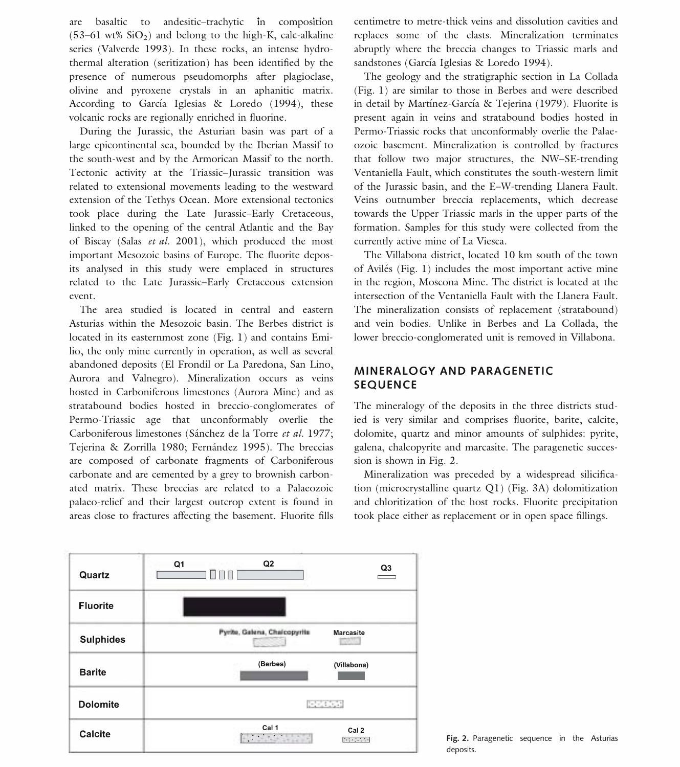are basaltic to andesitic-trachytic in composition  $(53-61 \text{ wt\% SiO}_2)$  and belong to the high-K, calc-alkaline series (Valverde 1993). In these rocks, an intense hydrothermal alteration (seritization) has been identified by the presence of numerous pseudomorphs after plagioclase, olivine and pyroxene crystals in an aphanitic matrix. According to García Iglesias & Loredo (1994), these volcanic rocks are regionally enriched in fluorine.

During the Jurassic, the Asturian basin was part of a large epicontinental sea, bounded by the Iberian Massif to the south-west and by the Armorican Massif to the north. Tectonic activity at the Triassic-Jurassic transition was related to extensional movements leading to the westward extension of the Tethys Ocean. More extensional tectonics took place during the Late Jurassic-Early Cretaceous, linked to the opening of the central Atlantic and the Bay of Biscay (Salas et al. 2001), which produced the most important Mesozoic basins of Europe. The fluorite deposits analysed in this study were emplaced in structures related to the Late Jurassic-Early Cretaceous extension event.

The area studied is located in central and eastern Asturias within the Mesozoic basin. The Berbes district is located in its easternmost zone (Fig. 1) and contains Emilio, the only mine currently in operation, as well as several abandoned deposits (El Frondil or La Paredona, San Lino, Aurora and Valnegro). Mineralization occurs as veins hosted in Carboniferous limestones (Aurora Mine) and as stratabound bodies hosted in breccio-conglomerates of Permo-Triassic age that unconformably overlie the Carboniferous limestones (Sánchez de la Torre et al. 1977; Tejerina & Zorrilla 1980; Fernández 1995). The breccias are composed of carbonate fragments of Carboniferous carbonate and are cemented by a grey to brownish carbonated matrix. These breccias are related to a Palaeozoic palaeo-relief and their largest outcrop extent is found in areas close to fractures affecting the basement. Fluorite fills

centimetre to metre-thick veins and dissolution cavities and replaces some of the clasts. Mineralization terminates abruptly where the breccia changes to Triassic marls and sandstones (García Iglesias & Loredo 1994).

The geology and the stratigraphic section in La Collada (Fig. 1) are similar to those in Berbes and were described in detail by Martínez-García & Tejerina (1979). Fluorite is present again in veins and stratabound bodies hosted in Permo-Triassic rocks that unconformably overlie the Palaeozoic basement. Mineralization is controlled by fractures that follow two major structures, the NW-SE-trending Ventaniella Fault, which constitutes the south-western limit of the Jurassic basin, and the E-W-trending Llanera Fault. Veins outnumber breccia replacements, which decrease towards the Upper Triassic marls in the upper parts of the formation. Samples for this study were collected from the currently active mine of La Viesca.

The Villabona district, located 10 km south of the town of Aviles (Fig. 1) includes the most important active mine in the region, Moscona Mine. The district is located at the intersection of the Ventaniella Fault with the Llanera Fault. The mineralization consists of replacement (stratabound) and vein bodies. Unlike in Berbes and La Collada, the lower breccio-conglomerated unit is removed in Villabona.

# MINERALOGY AND PARAGENETIC SEQUENCE

The mineralogy of the deposits in the three districts studied is very similar and comprises fluorite, barite, calcite, dolomite, quartz and minor amounts of sulphides: pyrite, galena, chalcopyrite and marcasite. The paragenetic succession is shown in Fig. 2.

Mineralization was preceded by a widespread silicification (microcrystalline quartz Q1) (Fig. 3A) dolomitization and chloritization of the host rocks. Fluorite precipitation took place either as replacement or in open space fillings.



Fig. 2. Paragenetic sequence in the Asturias deposits.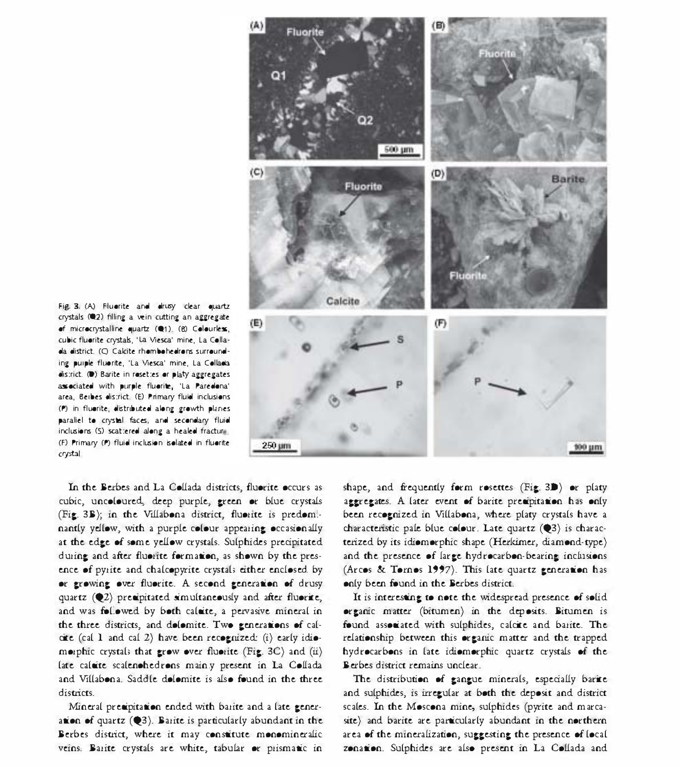

Fig. 3. (A) Fluerite and drusy clear quartz crystals (@2) filling a vein cutting an aggregate of microcrystalline quartz (@1). (8) Colourless, cubic fluorite crystals, 'La Viesca' mine, La Collaela elistrict. (Q Calcite rhembeheelrens surreuneling puiple fluorite, 'La Viesca' mine, La Collacia district. (D) Barite in resettes or platy aggregates associated with purple fluorite. 'La Paredona' area, Beibes district. (E) Primary fluid inclusions (P) in fluerite, distributed along growth planes paraliel to crystal faces, and secondary fluid inclusions (S) scattered along a healed fracture. (F) Primary (P) fluid inclusion isolated in fluorite crystal

In the Berbes and La Collada districts, fluorite occurs as cubic, uncoloured, deep purple, green or blue crystals (Fig. 3B); in the Villabona district, fluorite is predominantly yellow, with a purple colour appearing occasionally at the edge of some yellow crystals. Sulphides precipitated during and after fluorite formation, as shown by the presence of pyrite and chalcopyrite crystals either enclosed by or growing over fluorite. A second generation of drusy quartz (Q2) precipitated simultaneously and after fluorite, and was followed by both calaite, a pervasive mineral in the three districts, and dolomite. Two generations of calcite (cal 1 and cal 2) have been recognized: (i) early idiomorphic crystals that grow over fluorite (Fig. 3C) and  $(ii)$ late calaite scalenohedrons mainly present in La Collada and Villabona. Saddle dolomite is also found in the three districts.

Mineral presipitation ended with barite and a late generation of quartz  $(2)$ . Barite is particularly abundant in the Berbes district, where it may constitute monomineralic veins. Barite crystals are white, tabular or prismatic in shape, and frequently form rosettes (Fig. 3D) or platy aggregates. A later event of barite precipitation has only been recognized in Villabona, where platy crystals have a characteristic pale blue colour. Late quartz (03) is characterized by its idiomorphic shape (Herkimer, diamond-type) and the presence of large hydrocarbon-bearing inclusions (Arcos & Tornos 1997). This late quartz generation has only been found in the Berbes district.

It is interesting to note the widespread presence of solid organic matter (bitumen) in the deposits. Bitumen is found associated with sulphides, calcite and barite. The relationship between this organic matter and the trapped hydrocarbons in late idiomorphic quartz crystals of the Berbes district remains unclear.

The distribution of gangue minerals, especially barite and sulphides, is irregular at both the deposit and district scales. In the Moscona mine, sulphides (pyrite and marcasite) and barite are particularly abundant in the northern area of the mineralization, suggesting the presence of local zonation. Sulphides are also present in La Collada and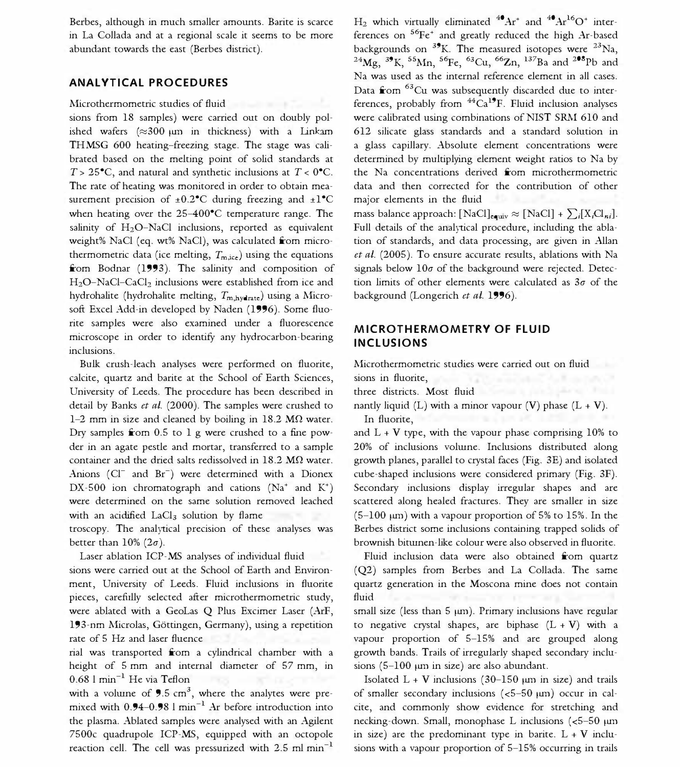Berbes, although in much smaller amounts. Barite is scarce in La Collada and at a regional scale it seems to be more abundant towards the east (Berbes district).

## ANALYTICAL PROCEDURES

sions from 18 samples) were carried out on doubly polished wafers  $(\approx 300 \mu m)$  in thickness) with a Linkam THMSG 600 heating-freezing stage. The stage was calibrated based on the melting point of solid standards at  $T > 25^{\circ}$ C, and natural and synthetic inclusions at  $T < 0^{\circ}$ C. The rate of heating was monitored in order to obtain measurement precision of  $\pm 0.2^{\circ}$ C during freezing and  $\pm 1^{\circ}$ C when heating over the 25-400°C temperature range. The salinity of  $H_2O-NaCl$  inclusions, reported as equivalent weight% NaCI (eq. wt% NaCI), was calculated from microthermometric data (ice melting,  $T_{\text{m,ice}}$ ) using the equations from Bodnar (1993). The salinity and composition of  $H_2O-NaCl-CaCl_2$  inclusions were established from ice and hydrohalite (hydrohalite melting,  $T_{m,h}\text{y}_\text{data}$ ) using a Microsoft Excel Add-in developed by Naden (1996). Some fluorite samples were also examined under a fluorescence microscope in order to identify any hydrocarbon-bearing inclusions.

Bulk crush-leach analyses were performed on fluorite, calcite, quartz and barite at the School of Earth Sciences, University of Leeds. The procedure has been described in detail by Banks et al. (2000). The samples were crushed to 1-2 mm in size and cleaned by boiling in 18.2  $M\Omega$  water. Dry samples from 0.5 to 1 g were crushed to a fine powder in an agate pestle and mortar, transferred to a sample container and the dried salts redissolved in  $18.2 \text{ M}\Omega$  water. Anions (Cl<sup>-</sup> and Br<sup>-</sup>) were determined with a Dionex DX-500 ion chromatograph and cations (Na<sup>+</sup> and K<sup>+</sup>) were determined on the same solution removed leached

troscopy. The analytical precision of these analyses was better than  $10\%$  ( $2\sigma$ ).

sions were carried out at the School of Earth and Environment, University of Leeds. Fluid inclusions in fluorite pieces, carefully selected after microthermometric study, were ablated with a GeoLas Q Plus Excimer Laser (ArF, 193-nm Microlas, Göttingen, Germany), using a repetition

rial was transported from a cylindrical chamber with a height of 5 mm and internal diameter of 57 mm, in  $0.68$  l min<sup>-1</sup> He via Teflon **B** tubing, the stated L + V inclusions (30-150 µm in size) and trails

with a volume of  $9.5 \text{ cm}^3$ , where the analytes were premixed with  $0.94-0.98$  l min<sup>-1</sup> Ar before introduction into the plasma. Ablated samples were analysed with an Agilent 7500c quadrupole ICP-MS, equipped with an octopole reaction cell. The cell was pressurized with  $2.5$  ml min<sup>-1</sup>

Microthermometric studies of fluid inclusions (observed and the ferences, probably from  $44^{\circ}Ca^{19}F$ . Fluid inclusion analyses H<sub>2</sub> which virtually eliminated  $^{40}Ar^{+}$  and  $^{40}Ar^{16}O^{+}$  interferences on  ${}^{56}Fe^+$  and greatly reduced the high Ar-based backgrounds on  $3^9$ K. The measured isotopes were  $3^3$ Na,  $^{24}Mg$ ,  $^{39}K$ ,  $^{55}Mn$ ,  $^{56}Fe$ ,  $^{63}Cu$ ,  $^{66}Zn$ ,  $^{137}Ba$  and  $^{208}Pb$  and Na was used as the internal reference element in all cases. Data from <sup>63</sup>Cu was subsequently discarded due to interwere calibrated using combinations of NIST SRM 610 and 612 silicate glass standards and a standard solution in a glass capillary. Absolute element concentrations were determined by multiplying element weight ratios to Na by the Na concentrations derived from microthermometric data and then corrected for the contribution of other major elements in the fluid

mass balance approach: [NaCl]<sub>equiv</sub>  $\approx$  [NaCl] +  $\sum_i [X_iCl_{ni}]$ . Full details of the analytical procedure, including the ablation of standards, and data processing, are given in Allan et al. (2005). To ensure accurate results, ablations with Na signals below  $10\sigma$  of the background were rejected. Detection limits of other elements were calculated as  $3\sigma$  of the background (Longerich et al. 1996).

# MICROTHERMOMETRY OF FLUID INCLUSIONS

Microthermometric studies were carried out on fluid sions in fluorite, quartz (Q2), calcite and barrier from the barrier from the barrier from the barrier from the barrier from the barrier from the barrier from the barrier from the barrier from the barrier from the barrier

three districts. Most fluid

nantly liquid (L) with a minor vapour (V) phase  $(L + V)$ . In fluorite, inclusions range  $\mathbb{R}^2$  in size  $\mathbb{R}^2$  in size  $\mathbb{R}^2$  in size  $\mathbb{R}^2$  in size  $\mathbb{R}^2$  in size  $\mathbb{R}^2$  in size  $\mathbb{R}^2$  in size  $\mathbb{R}^2$  in size  $\mathbb{R}^2$  in size  $\mathbb{R}^2$  in size

with an acidified LaCl<sub>3</sub> solution by flame  $(5-100 \text{ }\mu\text{m})$  with a vapour proportion of 5% to 15%. In the and  $L + V$  type, with the vapour phase comprising 10% to 20% of inclusions volwne. Inclusions distributed along growth planes, parallel to crystal faces (Fig. 3E) and isolated cube-shaped inclusions were considered primary (Fig. 3F). Secondary inclusions display irregular shapes and are scattered along healed fractures. They are smaller in size Berbes district some inclusions containing trapped solids of brownish bitwnen-like colour were also observed in fluorite.

Laser ablation ICP-MS analyses of individual fluid inclusion data were also obtained from quartz (Q2) samples from Berbes and La Collada. The same quartz generation in the Moscona mine does not contain fluid inclusions suitable for microthermometry due to the microthermometry due to the inclusions of the inclusions of the inclusions of the inclusions of the inclusions of the inclusions of the inclusions of the inclusions

rate of 5 Hz and laser fluence vapour proportion of 5-15% and are grouped along small size (less than  $5 \mu m$ ). Primary inclusions have regular to negative crystal shapes, are biphase  $(L + V)$  with a growth bands. Trails of irregularly shaped secondary inclusions  $(5-100 \mu m)$  in size) are also abundant.

> of smaller secondary inclusions  $(<5-50 \mu m)$  occur in calcite, and commonly show evidence for stretching and necking-down. Small, monophase L inclusions  $(<5-50 \mu m$ in size) are the predominant type in barite.  $L + V$  inclusions with a vapour proportion of 5-15% occurring in trails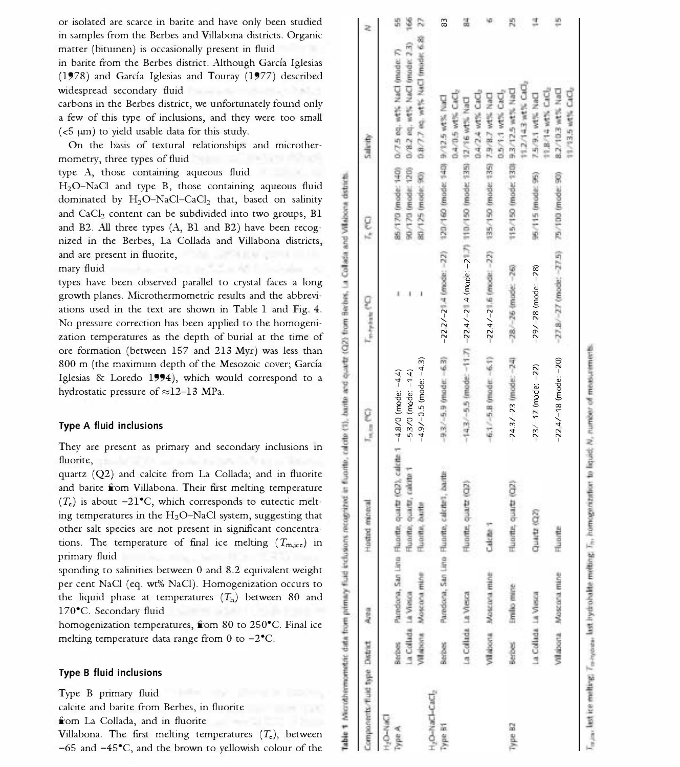#### Type A fluid inclusions

## Type B fluid inclusions

Villabona. The first melting temperatures  $(T_c)$ , between -65 and -45°C, and the brown to yellowish colour of the

| or isolated are scarce in barite and have only been studied                                                                        |                                                                    |  |  |
|------------------------------------------------------------------------------------------------------------------------------------|--------------------------------------------------------------------|--|--|
| in samples from the Berbes and Villabona districts. Organic                                                                        |                                                                    |  |  |
| matter (bitumen) is occasionally present in fluid                                                                                  |                                                                    |  |  |
| in barite from the Berbes district. Although García Iglesias                                                                       |                                                                    |  |  |
| (1978) and García Iglesias and Touray (1977) described                                                                             |                                                                    |  |  |
| widespread secondary fluid<br>carbons in the Berbes district, we unfortunately found only                                          |                                                                    |  |  |
| a few of this type of inclusions, and they were too small                                                                          |                                                                    |  |  |
| (<5 µm) to yield usable data for this study.                                                                                       |                                                                    |  |  |
| On the basis of textural relationships and microther-                                                                              | V7.5 eq. wtls NaCl (mode: 7<br>V8.2 eq. wtls NaCl (mode: 2<br>e.c. |  |  |
| mometry, three types of fluid                                                                                                      | 6.6.                                                               |  |  |
| type A, those containing aqueous fluid                                                                                             | Ŷ.                                                                 |  |  |
| H <sub>2</sub> O-NaCl and type B, those containing aqueous fluid                                                                   |                                                                    |  |  |
| dominated by H <sub>2</sub> O-NaCl-CaCl <sub>2</sub> that, based on salinity                                                       |                                                                    |  |  |
| and CaCl <sub>2</sub> content can be subdivided into two groups, B1                                                                |                                                                    |  |  |
| and B2. All three types (A, B1 and B2) have been recog-                                                                            | 85/170<br>90/170                                                   |  |  |
| nized in the Berbes, La Collada and Villabona districts,                                                                           |                                                                    |  |  |
| and are present in fluorite,                                                                                                       |                                                                    |  |  |
| mary fluid                                                                                                                         |                                                                    |  |  |
| types have been observed parallel to crystal faces a long                                                                          |                                                                    |  |  |
| growth planes. Microthermometric results and the abbrevi-                                                                          | $1 - 1$                                                            |  |  |
| ations used in the text are shown in Table 1 and Fig. 4.                                                                           |                                                                    |  |  |
| No pressure correction has been applied to the homogeni-                                                                           |                                                                    |  |  |
| zation temperatures as the depth of burial at the time of<br>ore formation (between 157 and 213 Myr) was less than                 |                                                                    |  |  |
| 800 m (the maximum depth of the Mesozoic cover; García                                                                             |                                                                    |  |  |
| Iglesias & Loredo 1994), which would correspond to a                                                                               |                                                                    |  |  |
| hydrostatic pressure of ≈12-13 MPa.                                                                                                |                                                                    |  |  |
|                                                                                                                                    |                                                                    |  |  |
|                                                                                                                                    |                                                                    |  |  |
| Type A fluid inclusions                                                                                                            |                                                                    |  |  |
| They are present as primary and secondary inclusions in                                                                            |                                                                    |  |  |
| fluorite,                                                                                                                          |                                                                    |  |  |
| quartz (Q2) and calcite from La Collada; and in fluorite                                                                           |                                                                    |  |  |
| and barite from Villabona. Their first melting temperature                                                                         |                                                                    |  |  |
| $(T_c)$ is about -21°C, which corresponds to eutectic melt-                                                                        |                                                                    |  |  |
| ing temperatures in the H <sub>2</sub> O-NaCl system, suggesting that                                                              |                                                                    |  |  |
| other salt species are not present in significant concentra-                                                                       |                                                                    |  |  |
| tions. The temperature of final ice melting $(T_{m,ice})$ in                                                                       |                                                                    |  |  |
| primary fluid                                                                                                                      |                                                                    |  |  |
| sponding to salinities between 0 and 8.2 equivalent weight<br>per cent NaCl (eq. wt% NaCl). Homogenization occurs to               |                                                                    |  |  |
| the liquid phase at temperatures $(Th)$ between 80 and                                                                             |                                                                    |  |  |
| 170°C. Secondary fluid                                                                                                             |                                                                    |  |  |
| homogenization temperatures, from 80 to 250°C. Final ice                                                                           |                                                                    |  |  |
| melting temperature data range from 0 to -2°C.                                                                                     |                                                                    |  |  |
|                                                                                                                                    |                                                                    |  |  |
| Type B fluid inclusions                                                                                                            |                                                                    |  |  |
|                                                                                                                                    |                                                                    |  |  |
| Type B primary fluid                                                                                                               |                                                                    |  |  |
| calcite and barite from Berbes, in fluorite                                                                                        |                                                                    |  |  |
| from La Collada, and in fluorite                                                                                                   |                                                                    |  |  |
| Villabona. The first melting temperatures $(T_e)$ , between<br>$-65$ and $-45^{\circ}$ C, and the brown to vellowish colour of the |                                                                    |  |  |
|                                                                                                                                    |                                                                    |  |  |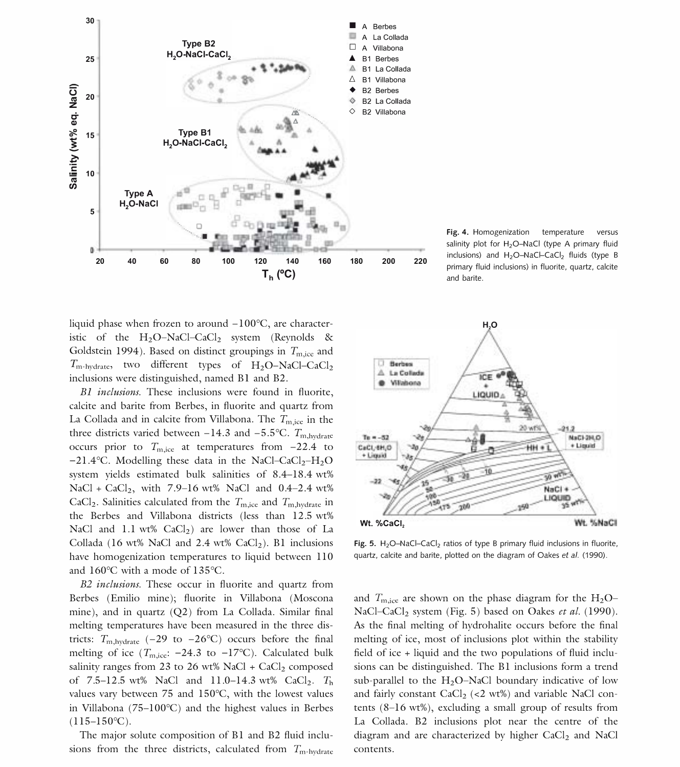

Fig. 4. Homogenization temperature versus salinity plot for H<sub>2</sub>O-NaCl (type A primary fluid inclusions) and  $H_2O-NaCl-CaCl_2$  fluids (type B primary fluid inclusions) in fluorite, quartz, calcite and barite.

liquid phase when frozen to around -100°C, are characteristic of the  $H_2O-NaCl-CaCl_2$  system (Reynolds & Goldstein 1994). Based on distinct groupings in  $T_{\rm m,ice}$  and  $T_{\text{m-hydroate}}$ , two different types of  $H_2O-NaCl-CaCl_2$ inclusions were distinguished, named BI and B2.

BI inclusions. These inclusions were found in fluorite, calcite and barite from Berbes, in fluorite and quartz from La Collada and in calcite from Villabona. The  $T_{m,ice}$  in the three districts varied between -14.3 and -5.5 °C.  $T_{\text{m,hydro}}$ occurs prior to  $T_{\text{m,ice}}$  at temperatures from  $-22.4$  to  $-21.4$ °C. Modelling these data in the NaCl-CaCl<sub>2</sub>-H<sub>2</sub>O system yields estimated bulk salinities of  $8.4-18.4$  wt% NaCl + CaCl<sub>2</sub>, with 7.9-16 wt% NaCl and  $0.4-2.4$  wt% CaCl<sub>2</sub>. Salinities calculated from the  $T_{\text{m,ice}}$  and  $T_{\text{m,hydro}}$  in the Berbes and Villabona districts (less than 12.5 wt% NaCl and 1.1 wt%  $CaCl<sub>2</sub>$ ) are lower than those of La Collada (16 wt% NaCl and 2.4 wt%  $CaCl<sub>2</sub>$ ). B1 inclusions have homogenization temperatures to liquid between 110 and 160°C with a mode of 135°C.

B2 inclusions. These occur in fluorite and quartz from Berbes (Emilio mine); fluorite in Villabona (Moscona mine), and in quartz (Q2) from La Collada. Similar final melting temperatures have been measured in the three districts:  $T_{\text{m,hydrate}}$  (-29 to -26°C) occurs before the final melting of ice ( $T_{\text{m,ice}}$ : -24.3 to -17°C). Calculated bulk salinity ranges from 23 to 26 wt% NaCl +  $CaCl<sub>2</sub>$  composed of 7.5–12.5 wt% NaCl and 11.0–14.3 wt% CaCl<sub>2</sub>.  $T<sub>h</sub>$ values vary between 75 and 150°C, with the lowest values in Villabona (75-100°C) and the highest values in Berbes  $(115-150\text{°C})$ .

The major solute composition of Bl and B2 fluid inclusions from the three districts, calculated from  $T_{\text{m-hvdrate}}$ 



Fig. 5.  $H_2O$ -NaCl-CaCl<sub>2</sub> ratios of type B primary fluid inclusions in fluorite, quartz, calcite and barite, plotted on the diagram of Oakes et al. (1990).

and  $T_{\text{m,ice}}$  are shown on the phase diagram for the  $H_2O$ -NaCl-CaCl<sub>2</sub> system (Fig. 5) based on Oakes et al. (1990). As the final melting of hydrohalite occurs before the final melting of ice, most of inclusions plot within the stability field of ice + liquid and the two populations of fluid inclusions can be distinguished. The Bl inclusions form a trend sub-parallel to the  $H<sub>2</sub>O-NaCl$  boundary indicative of low and fairly constant  $CaCl<sub>2</sub>$  (<2 wt%) and variable NaCl contents (8-16 wt%), excluding a small group of results from La Collada. B2 inclusions plot near the centre of the diagram and are characterized by higher  $CaCl<sub>2</sub>$  and NaCl contents.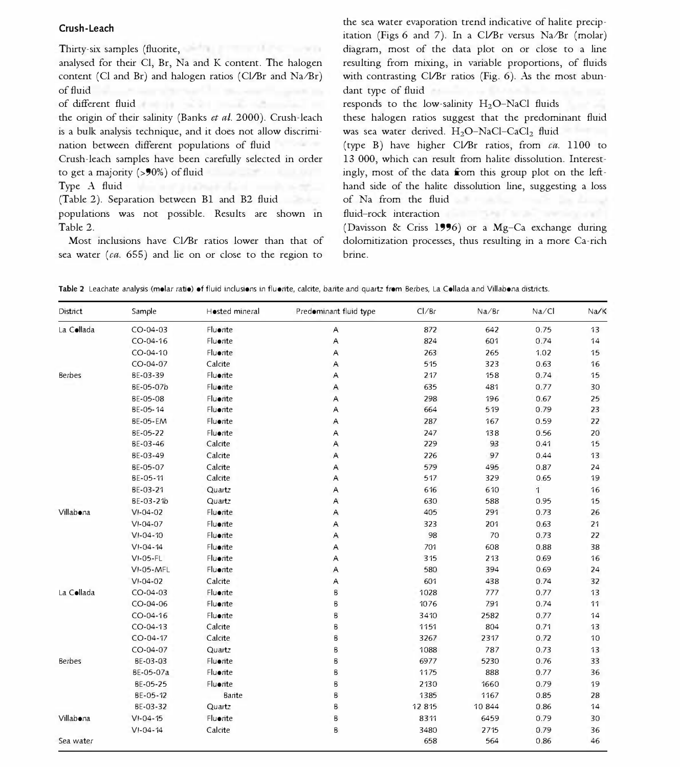## Crush-Leach

Thirty-six samples (fluorite, calcite) were and barrier and barriers and barriers and barriers and barriers and barriers and barriers and barriers and barriers and barriers and barriers and barriers and barriers and barrie

analysed for their Cl, Br, Na and K content. The halogen content (Cl and Br) and halogen ratios (Cl/Br and Na/Br) of fluid inclusions are often used to recognize the presence of fluid inclusions are often used to recognize the presence of fluid

the origin of their salinity (Banks et al. 2000). Crush-leach is a bulk analysis technique, and it does not allow discrimi-

Crush-leach samples have been carefully selected in order

(Table 2). Separation between B1 and B2 fluid inclusion of Na from the fluid

populations was not possible. Results are shown in Table 2.

Most inclusions have Cl/Br ratios lower than that of sea water ( $ca. 655$ ) and lie on or close to the region to

the sea water evaporation trend indicative of halite precipitation (Figs 6 and 7). In a Cl/Br versus Na/Br (molar) diagram, most of the data plot on or close to a line resulting from mixing, in variable proportions, of fluids with contrasting Cl/Br ratios (Fig.  $6$ ). As the most abun- $\frac{d}{dx}$  dant type of fluid  $\frac{d}{dx}$  inclusions in the analysed samples corrected samples corrected samples corrected samples corrected samples corrected samples corrected samples corrected samples corrected samples cor

of different fluid sources and to provide information of different fluids (type A), and the low-salinity H<sub>2</sub>O-NaCl fluids (type A), and the low-salinity H<sub>2</sub>O-NaCl fluids (type A), and type A), and type A), and type A), a

these halogen ratios suggest that the predominant fluid was sea water derived.  $H_2O-NaCl-CaCl_2$  fluid

nation between different populations of fluid inclusions (type B) have higher CI/Br ratios, from ca. 1100 to to get a majority (>90%) of fluid inclusions from each type. In this group plot on the left-Type A fluid inclusions predominate in most samples in most samples of the halite dissolution line, suggesting a loss 13 000, which can result from halite dissolution. Interestof  $\overline{N}$  a from the fluid

fluid-rock interaction with planets and planets of the planets of the control of the control of the control of the control of the control of the control of the control of the control of the control of the control of the co

(Davisson & Criss 1996) or a Mg-Ca exchange during dolomitization processes, thus resulting in a more Ca-rich brine.

|  | Table 2 Leachate analysis (molar ratio) of fluid inclusions in fluorite, calcite, barite and quartz from Berbes, La Collada and Villabona districts. |
|--|------------------------------------------------------------------------------------------------------------------------------------------------------|
|--|------------------------------------------------------------------------------------------------------------------------------------------------------|

| <b>District</b> | Sample           | Hosted mineral | Predominant fluid type | Cl/Br | Na/Br | Na/Cl | Na/K |
|-----------------|------------------|----------------|------------------------|-------|-------|-------|------|
| La Collada      | $CO - 04 - 03$   | Fluorite       | Α                      | 872   | 642   | 0.75  | 13   |
|                 | $CO - 04 - 16$   | Fluerite       | Α                      | 824   | 601   | 0.74  | 14   |
|                 | CO-04-10         | Fluerite       | Α                      | 263   | 265   | 1.02  | 15   |
|                 | $CO - 04 - 07$   | Calcite        | Α                      | 515   | 323   | 0.63  | 16   |
| Berbes          | BE-03-39         | Fluerite       | A                      | 217   | 158   | 0.74  | 15   |
|                 | BE-05-07b        | Fluerite       | A                      | 635   | 481   | 0.77  | 30   |
|                 | BE-05-08         | Fluerite       | Α                      | 298   | 196   | 0.67  | 25   |
|                 | BE-05-14         | Fluerite       | A                      | 664   | 519   | 0.79  | 23   |
|                 | <b>BE-05-EM</b>  | Fluorite       | Α                      | 287   | 167   | 0.59  | 22   |
|                 | BE-05-22         | Fluerite       | Α                      | 247   | 138   | 0.56  | 20   |
|                 | BE-03-46         | Calcite        | A                      | 229   | 93    | 0.41  | 15   |
|                 | BE-03-49         | Calcite        | $\overline{A}$         | 226   | 97    | 0.44  | 13   |
|                 | BE-05-07         | Calcite        | Α                      | 579   | 495   | 0.87  | 24   |
|                 | BE-05-11         | Calcite        | Α                      | 517   | 329   | 0.65  | 19   |
|                 | BE-03-21         | Quartz         | A                      | 616   | 610   | 1     | 16   |
|                 | BE-03-21b        | Quartz         | Α                      | 630   | 588   | 0.95  | 15   |
| Villabona       | $VI-04-02$       | Fluerite       | Α                      | 405   | 291   | 0.73  | 26   |
|                 | $VI - 04 - 07$   | Fluerite       | Α                      | 323   | 201   | 0.63  | 21   |
|                 | $VI - 04 - 10$   | Fluerite       | A                      | 98    | 70    | 0.73  | 22   |
|                 | $VI - 04 - 14$   | Fluerite       | Α                      | 701   | 608   | 0.88  | 38   |
|                 | $VI-05-FL$       | Fluerite       | Α                      | 315   | 213   | 0.69  | 16   |
|                 | <b>VI-05-MFL</b> | Fluerite       | A                      | 580   | 394   | 0.69  | 24   |
|                 | $VI - 04 - 02$   | Calcite        | A                      | 601   | 438   | 0.74  | 32   |
| La Collada      | $CO - 04 - 03$   | Fluerite       | B                      | 1028  | 777   | 0.77  | 13   |
|                 | $CO - 04 - 06$   | Fluerite       | B                      | 1076  | 791   | 0.74  | 11   |
|                 | $CO - 04 - 16$   | Fluerite       | B                      | 3410  | 2582  | 0.77  | 14   |
|                 | $CO - 04 - 13$   | Calcite        | B                      | 1151  | 804   | 0.71  | 13   |
|                 | $CO - 04 - 17$   | Calcite        | B                      | 3267  | 2317  | 0.72  | 10   |
|                 | $CO - 04 - 07$   | Quartz         | B                      | 1088  | 787   | 0.73  | 13   |
| Berbes          | BE-03-03         | Fluerite       | B                      | 6977  | 5230  | 0.76  | 33   |
|                 | BE-05-07a        | Fluerite       | B                      | 1175  | 888   | 0.77  | 36   |
|                 | BE-05-25         | Fluerite       | B                      | 2130  | 1660  | 0.79  | 19   |
|                 | BE-05-12         | Barite         | B                      | 1385  | 1167  | 0.85  | 28   |
|                 | BE-03-32         | Quartz         | B                      | 12815 | 10844 | 0.86  | 14   |
| Villabona       | $V1 - 04 - 15$   | Fluerite       | B                      | 8311  | 6459  | 0.79  | 30   |
|                 | $VI - 04 - 14$   | Calcite        | B                      | 3480  | 2715  | 0.79  | 36   |
| Sea water       |                  |                |                        | 658   | 564   | 0.86  | 46   |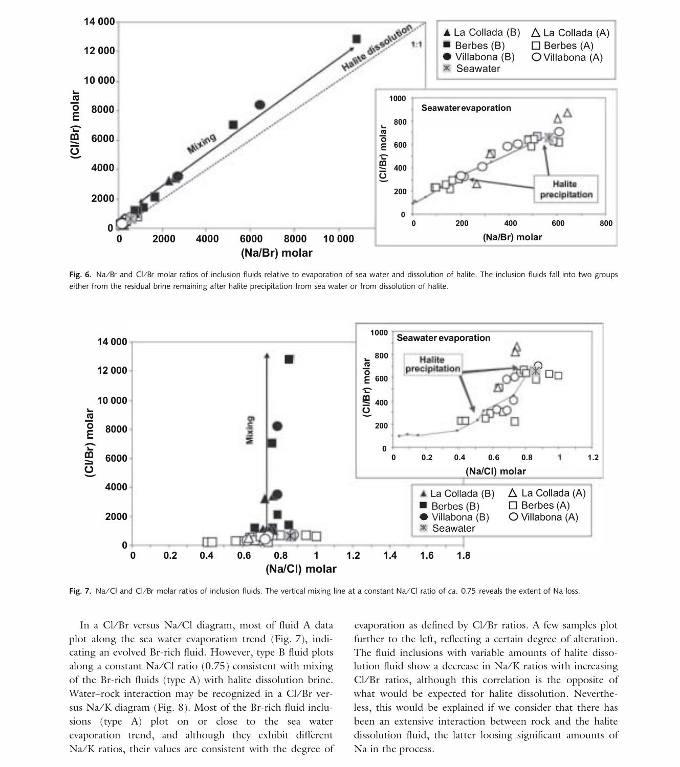

Fig. 6. Na/Br and Cl/Br molar ratios of inclusion fluids relative to evaporation of sea water and dissolution of halite. The inclusion fluids fall into two groups either from the residual brine remaining after halite precipitation from sea water or from dissolution of halite.



Fig. 7. Na/Cl and Cl/Br molar ratios of inclusion fluids. The vertical mixing line at a constant Na/Cl ratio of ca. 0.75 reveals the extent of Na loss.

In a Cl/Br versus Na/Cl diagram, most of fluid A data plot along the sea water evaporation trend (Fig. 7), indicating an evolved Br-rich fluid. However, type B fluid plots along a constant Na/Cl ratio  $(0.75)$  consistent with mixing of the Br-rich fluids (type A) with halite dissolution brine. Water-rock interaction may be recognized in a Cl/Br versus  $\text{Na/K}$  diagram (Fig. 8). Most of the Br-rich fluid inclusions (type A) plot on or close to the sea water evaporation trend, and although they exhibit different  $Na/K$  ratios, their values are consistent with the degree of

evaporation as defined by Cl/Br ratios. A few samples plot further to the left, reflecting a certain degree of alteration. The fluid inclusions with variable amounts of halite dissolution fluid show a decrease in  $Na/K$  ratios with increasing Cl/Br ratios, although this correlation is the opposite of what would be expected for halite dissolution. Nevertheless, this would be explained if we consider that there has been an extensive interaction between rock and the halite dissolution fluid, the latter loosing significant amounts of Na in the process.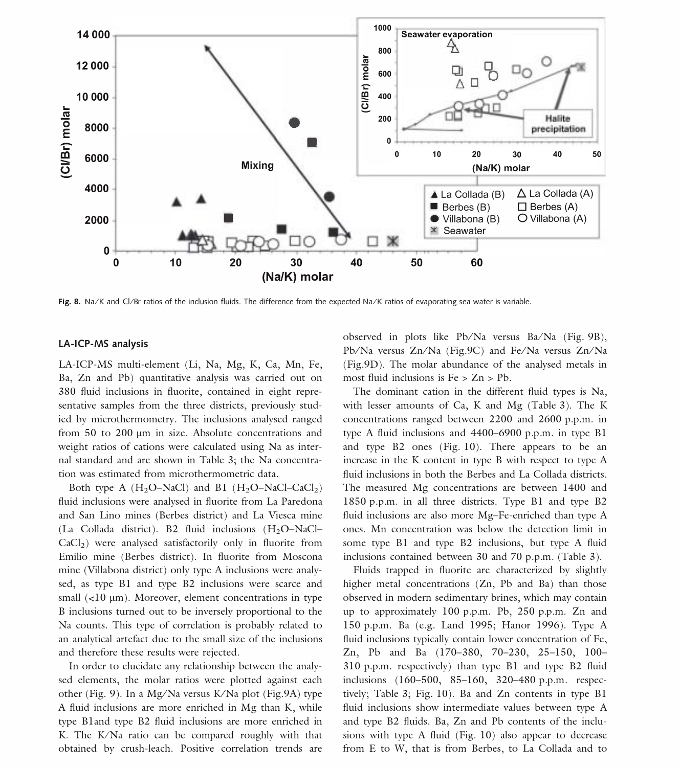

Fig. 8. Na/K and Cl/Br ratios of the inclusion fluids. The difference from the expected Na/K ratios of evaporating sea water is variable.

#### LA-ICP-MS analysis

LA-ICP-MS multi-element (Li, Na, Mg, K, Ca, Mn, Fe, Ba, Zn and Pb) quantitative analysis was carried out on 380 fluid inclusions in fluorite, contained in eight representative samples from the three districts, previously studied by microthermometry. The inclusions analysed ranged from  $50$  to  $200 \mu m$  in size. Absolute concentrations and weight ratios of cations were calculated using Na as internal standard and are shown in Table 3; the Na concentration was estimated from microthermometric data.

Both type A  $(H_2O-NaCl)$  and B1  $(H_2O-NaCl-CaCl_2)$ fluid inclusions were analysed in fluorite from La Paredona and San Lino mines (Berbes district) and La Viesca mine (La Collada district). B2 fluid inclusions  $(H_2O-NaCl CaCl<sub>2</sub>$ ) were analysed satisfactorily only in fluorite from Emilio mine (Berbes district). In fluorite from Moscona mine (Villabona district) only type A inclusions were analysed, as type Bl and type B2 inclusions were scarce and small  $(< 10 \mu m)$ . Moreover, element concentrations in type B inclusions turned out to be inversely proportional to the Na counts. This type of correlation is probably related to an analytical artefact due to the small size of the inclusions and therefore these results were rejected.

In order to elucidate any relationship between the analysed elements, the molar ratios were plotted against each other (Fig. 9). In a Mg/Na versus K/Na plot (Fig.9A) type A fluid inclusions are more enriched in Mg than K, while type Bland type B2 fluid inclusions are more enriched in K. The K/Na ratio can be compared roughly with that obtained by crush-leach. Positive correlation trends are observed in plots like Pb/Na versus Ba/Na (Fig. 9B), Pb/Na versus Zn/Na (Fig.9C) and Fe/Na versus Zn/Na (Fig.9D). The molar abundance of the analysed metals in most fluid inclusions is Fe > Zn > Pb.

The dominant cation in the different fluid types is Na, with lesser amounts of Ca, K and Mg (Table 3). The K concentrations ranged between 2200 and 2600 p.p.m. in type A fluid inclusions and 4400-6900 p.p.m. in type Bl and type B2 ones (Fig. 10). There appears to be an increase in the K content in type B with respect to type A fluid inclusions in both the Berbes and La Collada districts. The measured Mg concentrations are between 1400 and 1850 p.p.m. in all three districts. Type Bl and type B2 fluid inclusions are also more Mg-Fe-enriched than type A ones. Mn concentration was below the detection limit in some type Bl and type B2 inclusions, but type A fluid inclusions contained between 30 and 70 p.p.m. (Table 3).

Fluids trapped in fluorite are characterized by slightly higher metal concentrations (Zn, Pb and Ba) than those observed in modern sedimentary brines, which may contain up to approximately 100 p.p.m. Pb, 250 p.p.m. Zn and 150 p.p.m. Ba (e.g. Land 1995; Hanor 1996). Type A fluid inclusions typically contain lower concentration of Fe, Zn, Pb and Ba (170-380, 70-230, 25-150, 100- 310 p.p.m. respectively) than type Bl and type B2 fluid inclusions (160-500, 85-160, 320-480 p.p.m. respectively; Table 3; Fig. 10). Ba and Zn contents in type Bl fluid inclusions show intermediate values between type A and type B2 fluids. Ba, Zn and Pb contents of the inclusions with type A fluid (Fig. 10) also appear to decrease from E to W, that is from Berbes, to La Collada and to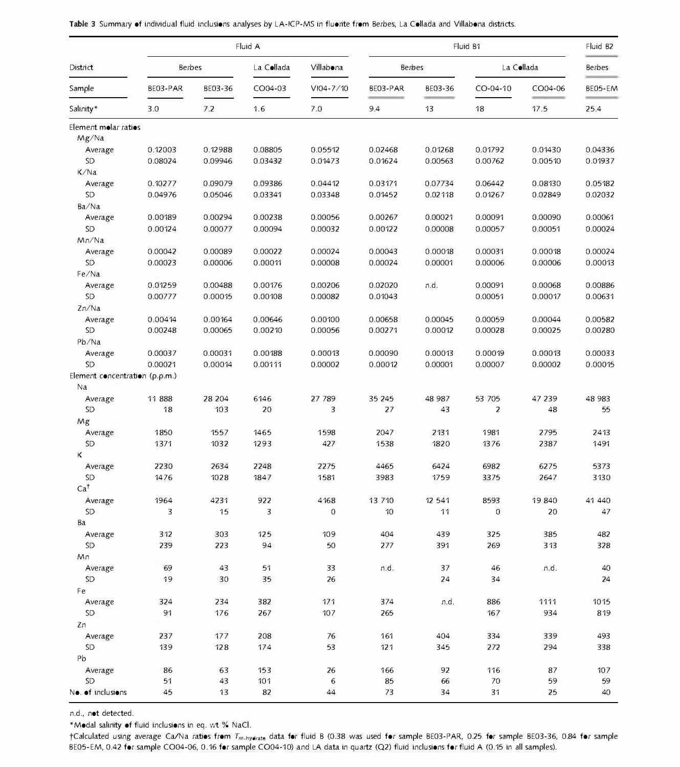|                                |          |         | Fluid A    |                  |          | Fluid B <sub>2</sub> |                |         |                 |
|--------------------------------|----------|---------|------------|------------------|----------|----------------------|----------------|---------|-----------------|
| District                       | Berbes   |         | La Collada | Villabona        | Berbes   |                      | La Collada     |         | <b>Berbes</b>   |
| Sample<br>Salinity*            | BE03-PAR | BE03-36 | CO04-03    | VI04-7/10<br>7.0 | BE03-PAR | BE03-36              | CO-04-10<br>18 | CO04-06 | BE05-EM<br>25.4 |
|                                | 3.0      | 7.2     | 1.6        |                  | 9.4      | 13                   |                | 17.5    |                 |
| Element molar ratios           |          |         |            |                  |          |                      |                |         |                 |
| Mg/Na                          |          |         |            |                  |          |                      |                |         |                 |
| Average                        | 0.12003  | 0.12988 | 0.08805    | 0.05512          | 0.02468  | 0.01268              | 0.01792        | 0.01430 | 0.04336         |
| <b>SD</b>                      | 0.08024  | 0.09946 | 0.03432    | 0.01473          | 0.01624  | 0.00563              | 0.00762        | 0.00510 | 0.01937         |
| K/Na                           |          |         |            |                  |          |                      |                |         |                 |
| Average                        | 0.10277  | 0.09079 | 0.09386    | 0.04412          | 0.03171  | 0.07734              | 0.06442        | 0.08130 | 0.05182         |
| SD <sub></sub>                 | 0.04976  | 0.05046 | 0.03341    | 0.03348          | 0.01452  | 0.02118              | 0.01267        | 0.02849 | 0.02032         |
| Ba/Na                          |          |         |            |                  |          |                      |                |         |                 |
| Average                        | 0.00189  | 0.00294 | 0.00238    | 0.00056          | 0.00267  | 0.00021              | 0.00091        | 0.00090 | 0.00061         |
| SD                             | 0.00124  | 0.00077 | 0.00094    | 0.00032          | 0.00122  | 0.00008              | 0.00057        | 0.00051 | 0.00024         |
| Mn/Na                          |          |         |            |                  |          |                      |                |         |                 |
| Average                        | 0.00042  | 0.00089 | 0.00022    | 0.00024          | 0.00043  | 0.00018              | 0.00031        | 0.00018 | 0.00024         |
| SD                             | 0.00023  | 0.00006 | 0.00011    | 0.00008          | 0.00024  | 0.00001              | 0.00006        | 0.00006 | 0.00013         |
| Fe/Na                          |          |         |            |                  |          |                      |                |         |                 |
| Average                        | 0.01259  | 0.00488 | 0.00176    | 0.00206          | 0.02020  | n.d.                 | 0.00091        | 0.00068 | 0.00886         |
| SD.                            | 0.00777  | 0.00015 | 0.00108    | 0.00082          | 0.01043  |                      | 0.00051        | 0.00017 | 0.00631         |
| Zn/Na                          |          |         |            |                  |          |                      |                |         |                 |
| Average                        | 0.00414  | 0.00164 | 0.00646    | 0.00100          | 0.00658  | 0.00045              | 0.00059        | 0.00044 | 0.00582         |
| SD                             | 0.00248  | 0.00065 | 0.00210    | 0.00056          | 0.00271  | 0.00012              | 0.00028        | 0.00025 | 0.00280         |
| Pb/Na                          |          |         |            |                  |          |                      |                |         |                 |
| Average                        | 0.00037  | 0.00031 | 0.00188    | 0.00013          | 0.00090  | 0.00013              | 0.00019        | 0.00013 | 0.00033         |
| <b>SD</b>                      | 0.00021  | 0.00014 | 0.00111    | 0.00002          | 0.00012  | 0.00001              | 0.00007        | 0.00002 | 0.00015         |
| Element concentration (p.p.m.) |          |         |            |                  |          |                      |                |         |                 |
| Na                             |          |         |            |                  |          |                      |                |         |                 |
| Average                        | 11888    | 28 204  | 6146       | 27 789           | 35 245   | 48 987               | 53 705         | 47 239  | 48 983          |
| <b>SD</b>                      | 18       | 103     | 20         | 3                | 27       | 43                   | $\overline{2}$ | 48      | 55              |
| Mg                             |          |         |            |                  |          |                      |                |         |                 |
| Average                        | 1850     | 1557    | 1465       | 1598             | 2047     | 2131                 | 1981           | 2795    | 2413            |
| <b>SD</b>                      | 1371     | 1032    | 1293       | 427              | 1538     | 1820                 | 1376           | 2387    | 1491            |
| Κ                              |          |         |            |                  |          |                      |                |         |                 |
| Average                        | 2230     | 2634    | 2248       | 2275             | 4465     | 6424                 | 6982           | 6275    | 5373            |
| <b>SD</b>                      | 1476     | 1028    | 1847       | 1581             | 3983     | 1759                 | 3375           | 2647    | 3130            |
| Ca <sup>†</sup>                |          |         |            |                  |          |                      |                |         |                 |
| Average                        | 1964     | 4231    | 922        | 4168             | 13 7 10  | 12 5 41              | 8593           | 19840   | 41 440          |
| SD.                            | 3        | 15      | 3          | 0                | 10       | 11                   | $\mathbf 0$    | 20      | 47              |
| Ba                             |          |         |            |                  |          |                      |                |         |                 |
| Average                        | 312      | 303     | 125        | 109              | 404      | 439                  | 325            | 385     | 482             |
| <b>SD</b>                      | 239      | 223     | 94         | 50               | 277      | 391                  | 269            | 313     | 328             |
|                                |          |         |            |                  |          |                      |                |         |                 |
| Mn                             | 69       | 43      | 51         | 33               | n.d.     | 37                   | 46             | n.d.    | 40              |
| Average<br><b>SD</b>           | 19       | 30      | 35         | 26               |          | 24                   | 34             |         | 24              |
| Fe                             |          |         |            |                  |          |                      |                |         |                 |
|                                |          |         |            |                  |          |                      |                |         |                 |
| Average                        | 324      | 234     | 382        | 171              | 374      | n.d.                 | 886            | 1111    | 1015            |
| SD <sub></sub>                 | 91       | 176     | 267        | 107              | 265      |                      | 167            | 934     | 819             |
| Zn                             |          |         |            |                  |          |                      |                |         |                 |
| Average                        | 237      | 177     | 208        | 76               | 161      | 404                  | 334            | 339     | 493             |
| SD                             | 139      | 128     | 174        | 53               | 121      | 345                  | 272            | 294     | 338             |
| Pb                             |          |         |            |                  |          |                      |                |         |                 |
| Average                        | 86       | 63      | 153        | 26               | 166      | 92                   | 116            | 87      | 107             |
| <b>SD</b>                      | 51       | 43      | 101        | 6                | 85       | 66                   | 70             | 59      | 59              |
| No. of inclusions              | 45       | 13      | 82         | 44               | 73       | 34                   | 31             | 25      | 40              |

|  |  |  |  |  |  |  |  |  | Table 3 Summary of individual fluid inclusions analyses by LA-ICP-MS in fluorite from Berbes. La Collada and Villabona districts. |
|--|--|--|--|--|--|--|--|--|-----------------------------------------------------------------------------------------------------------------------------------|
|--|--|--|--|--|--|--|--|--|-----------------------------------------------------------------------------------------------------------------------------------|

n.d., not detected.

"Modal salinity of fluid inclusions in eq. wt % NaCI.

tCalculated using average CaiN a ratios from Tm-hydrate data for fluid B (0.38 was used for sample BE03-PAR, 0.25 for sample BE03-36, 0.84 for sample BE05-EM, 0.42 for sample CO04-06, 0.16 for sample CO04-10) and LA data in quartz (Q2) fluid inclusions for fluid A (0.15 in all samples).